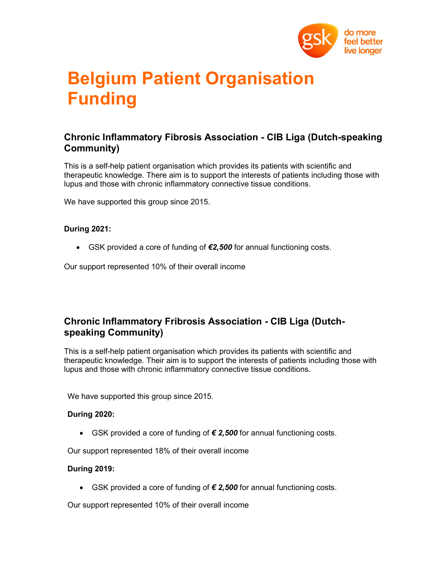

# Belgium Patient Organisation Funding

## Chronic Inflammatory Fibrosis Association - CIB Liga (Dutch-speaking Community)

This is a self-help patient organisation which provides its patients with scientific and therapeutic knowledge. There aim is to support the interests of patients including those with lupus and those with chronic inflammatory connective tissue conditions.

We have supported this group since 2015.

## During 2021:

GSK provided a core of funding of €2,500 for annual functioning costs.

Our support represented 10% of their overall income

## Chronic Inflammatory Fribrosis Association - CIB Liga (Dutchspeaking Community)

This is a self-help patient organisation which provides its patients with scientific and therapeutic knowledge. Their aim is to support the interests of patients including those with lupus and those with chronic inflammatory connective tissue conditions.

We have supported this group since 2015.

## During 2020:

• GSK provided a core of funding of  $€ 2,500$  for annual functioning costs.

Our support represented 18% of their overall income

## During 2019:

• GSK provided a core of funding of  $€$  2,500 for annual functioning costs.

Our support represented 10% of their overall income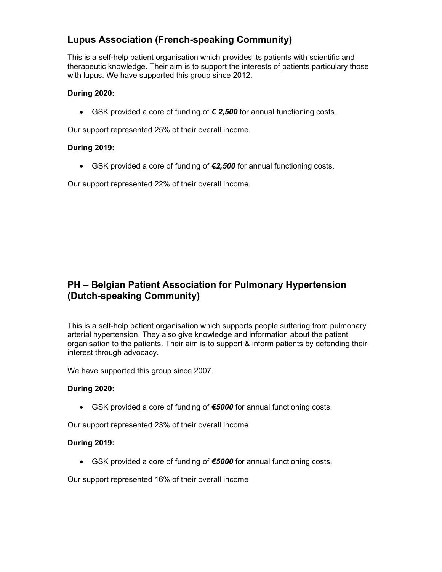# Lupus Association (French-speaking Community)

This is a self-help patient organisation which provides its patients with scientific and therapeutic knowledge. Their aim is to support the interests of patients particulary those with lupus. We have supported this group since 2012.

## During 2020:

• GSK provided a core of funding of  $€$  2,500 for annual functioning costs.

Our support represented 25% of their overall income.

## During 2019:

• GSK provided a core of funding of €2,500 for annual functioning costs.

Our support represented 22% of their overall income.

## PH – Belgian Patient Association for Pulmonary Hypertension (Dutch-speaking Community)

This is a self-help patient organisation which supports people suffering from pulmonary arterial hypertension. They also give knowledge and information about the patient organisation to the patients. Their aim is to support & inform patients by defending their interest through advocacy.

We have supported this group since 2007.

## During 2020:

GSK provided a core of funding of €5000 for annual functioning costs.

Our support represented 23% of their overall income

## During 2019:

• GSK provided a core of funding of €5000 for annual functioning costs.

Our support represented 16% of their overall income